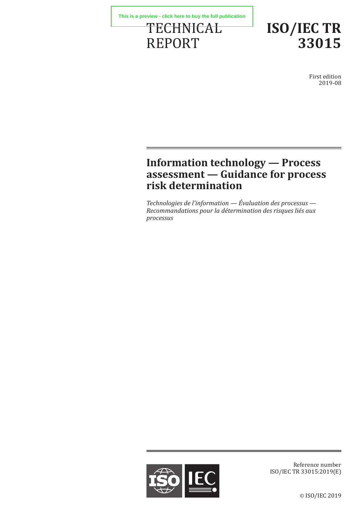



First edition 2019-08

# **Information technology — Process assessment — Guidance for process risk determination**

*Technologies de l'information — Évaluation des processus — Recommandations pour la détermination des risques liés aux processus*



Reference number ISO/IEC TR 33015:2019(E)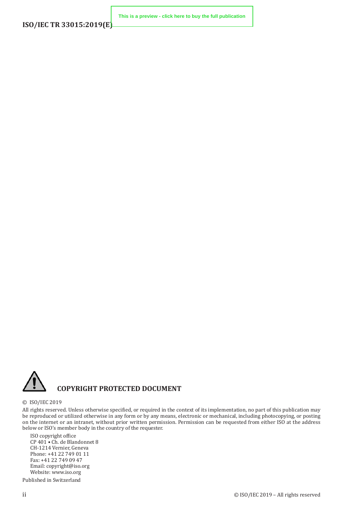

### **COPYRIGHT PROTECTED DOCUMENT**

#### © ISO/IEC 2019

All rights reserved. Unless otherwise specified, or required in the context of its implementation, no part of this publication may be reproduced or utilized otherwise in any form or by any means, electronic or mechanical, including photocopying, or posting on the internet or an intranet, without prior written permission. Permission can be requested from either ISO at the address below or ISO's member body in the country of the requester.

ISO copyright office CP 401 • Ch. de Blandonnet 8 CH-1214 Vernier, Geneva Phone: +41 22 749 01 11 Fax: +41 22 749 09 47 Email: copyright@iso.org Website: www.iso.org

Published in Switzerland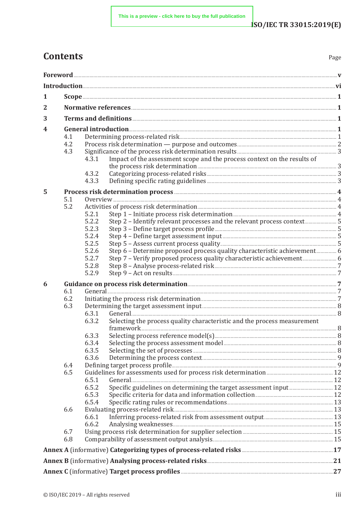# **Contents**

| . .<br>×<br>۹<br>× |
|--------------------|
|--------------------|

| 1            |                                                                                                                         |                                                                                                                                                                                                                                      |  |  |
|--------------|-------------------------------------------------------------------------------------------------------------------------|--------------------------------------------------------------------------------------------------------------------------------------------------------------------------------------------------------------------------------------|--|--|
| $\mathbf{2}$ |                                                                                                                         |                                                                                                                                                                                                                                      |  |  |
| 3            |                                                                                                                         |                                                                                                                                                                                                                                      |  |  |
| 4            | General introduction <u>the contraction</u> of the contraction of the contraction of the contraction of the contraction |                                                                                                                                                                                                                                      |  |  |
|              | 4.1                                                                                                                     |                                                                                                                                                                                                                                      |  |  |
|              | 4.2                                                                                                                     |                                                                                                                                                                                                                                      |  |  |
|              | 4.3                                                                                                                     |                                                                                                                                                                                                                                      |  |  |
|              |                                                                                                                         | Impact of the assessment scope and the process context on the results of<br>4.3.1                                                                                                                                                    |  |  |
|              |                                                                                                                         | the process risk determination <b>Manufacture 120</b> 3                                                                                                                                                                              |  |  |
|              |                                                                                                                         | 4.3.2                                                                                                                                                                                                                                |  |  |
|              |                                                                                                                         | 4.3.3                                                                                                                                                                                                                                |  |  |
| 5            |                                                                                                                         | Process risk determination process <b>Manual According to the According According to the According According According According According According According According According According According According According Accor</b> |  |  |
|              | 5.1                                                                                                                     |                                                                                                                                                                                                                                      |  |  |
|              | 5.2                                                                                                                     |                                                                                                                                                                                                                                      |  |  |
|              |                                                                                                                         | 5.2.1<br>5.2.2                                                                                                                                                                                                                       |  |  |
|              |                                                                                                                         | Step 2 - Identify relevant processes and the relevant process context 5<br>5.2.3                                                                                                                                                     |  |  |
|              |                                                                                                                         | 5.2.4                                                                                                                                                                                                                                |  |  |
|              |                                                                                                                         | 5.2.5                                                                                                                                                                                                                                |  |  |
|              |                                                                                                                         | 5.2.6                                                                                                                                                                                                                                |  |  |
|              |                                                                                                                         | Step 7 - Verify proposed process quality characteristic achievement 6<br>5.2.7                                                                                                                                                       |  |  |
|              |                                                                                                                         | 5.2.8                                                                                                                                                                                                                                |  |  |
|              |                                                                                                                         | 5.2.9                                                                                                                                                                                                                                |  |  |
| 6            |                                                                                                                         |                                                                                                                                                                                                                                      |  |  |
|              | 6.1                                                                                                                     |                                                                                                                                                                                                                                      |  |  |
|              | 6.2                                                                                                                     | Initiating the process risk determination <b>Manufacture 10</b> 7                                                                                                                                                                    |  |  |
|              | 6.3                                                                                                                     |                                                                                                                                                                                                                                      |  |  |
|              |                                                                                                                         | 6.3.1                                                                                                                                                                                                                                |  |  |
|              |                                                                                                                         | Selecting the process quality characteristic and the process measurement<br>6.3.2                                                                                                                                                    |  |  |
|              |                                                                                                                         |                                                                                                                                                                                                                                      |  |  |
|              |                                                                                                                         | 6.3.3<br>6.3.4                                                                                                                                                                                                                       |  |  |
|              |                                                                                                                         | 6.3.5                                                                                                                                                                                                                                |  |  |
|              |                                                                                                                         | 6.3.6                                                                                                                                                                                                                                |  |  |
|              | 6.4                                                                                                                     |                                                                                                                                                                                                                                      |  |  |
|              | 6.5                                                                                                                     |                                                                                                                                                                                                                                      |  |  |
|              |                                                                                                                         | 6.5.1                                                                                                                                                                                                                                |  |  |
|              |                                                                                                                         | 6.5.2                                                                                                                                                                                                                                |  |  |
|              |                                                                                                                         | 6.5.3                                                                                                                                                                                                                                |  |  |
|              |                                                                                                                         | 6.5.4                                                                                                                                                                                                                                |  |  |
|              | 6.6                                                                                                                     |                                                                                                                                                                                                                                      |  |  |
|              |                                                                                                                         | 6.6.1<br>6.6.2                                                                                                                                                                                                                       |  |  |
|              | 6.7                                                                                                                     |                                                                                                                                                                                                                                      |  |  |
|              | 6.8                                                                                                                     |                                                                                                                                                                                                                                      |  |  |
|              |                                                                                                                         |                                                                                                                                                                                                                                      |  |  |
|              |                                                                                                                         |                                                                                                                                                                                                                                      |  |  |
|              |                                                                                                                         |                                                                                                                                                                                                                                      |  |  |
|              |                                                                                                                         | Annex C (informative) Target process profiles <b>Election Contract 27</b>                                                                                                                                                            |  |  |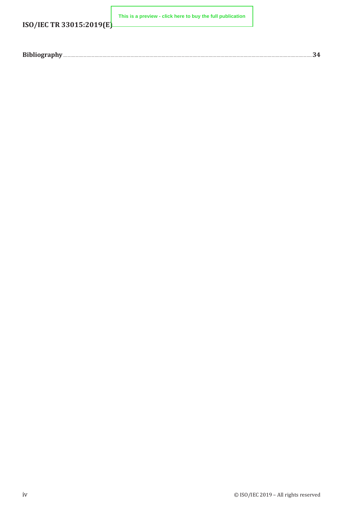**ISO/IEC TR 33015:2019(E)**

**[This is a preview - click here to buy the full publication](https://webstore.iec.ch/publication/65687&preview)**

|--|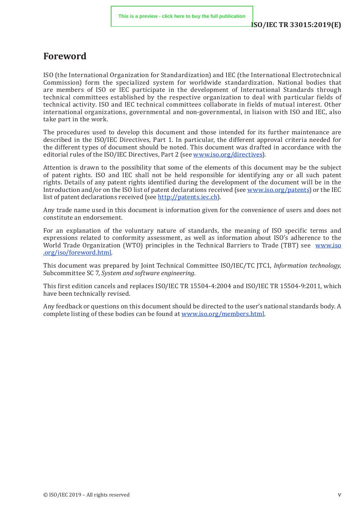## <span id="page-4-0"></span>**Foreword**

ISO (the International Organization for Standardization) and IEC (the International Electrotechnical Commission) form the specialized system for worldwide standardization. National bodies that are members of ISO or IEC participate in the development of International Standards through technical committees established by the respective organization to deal with particular fields of technical activity. ISO and IEC technical committees collaborate in fields of mutual interest. Other international organizations, governmental and non-governmental, in liaison with ISO and IEC, also take part in the work.

The procedures used to develop this document and those intended for its further maintenance are described in the ISO/IEC Directives, Part 1. In particular, the different approval criteria needed for the different types of document should be noted. This document was drafted in accordance with the editorial rules of the ISO/IEC Directives, Part 2 (see [www.iso.org/directives\)](https://www.iso.org/directives-and-policies.html).

Attention is drawn to the possibility that some of the elements of this document may be the subject of patent rights. ISO and IEC shall not be held responsible for identifying any or all such patent rights. Details of any patent rights identified during the development of the document will be in the Introduction and/or on the ISO list of patent declarations received (see www.iso[.org/patents](https://www.iso.org/iso-standards-and-patents.html)) or the IEC list of patent declarations received (see http:[//patents](http://patents.iec.ch/).iec.ch).

Any trade name used in this document is information given for the convenience of users and does not constitute an endorsement.

For an explanation of the voluntary nature of standards, the meaning of ISO specific terms and expressions related to conformity assessment, as well as information about ISO's adherence to the World Trade Organization (WTO) principles in the Technical Barriers to Trade (TBT) see [www.iso](https://www.iso.org/foreword-supplementary-information.html) [.org/iso/foreword.html](https://www.iso.org/foreword-supplementary-information.html).

This document was prepared by Joint Technical Committee ISO/IEC/TC JTC1, *Information technology*, Subcommittee SC 7, *System and software engineering*.

This first edition cancels and replaces ISO/IEC TR 15504-4:2004 and ISO/IEC TR 15504-9:2011, which have been technically revised.

Any feedback or questions on this document should be directed to the user's national standards body. A complete listing of these bodies can be found at [www.iso.org/members.html.](https://www.iso.org/members.html)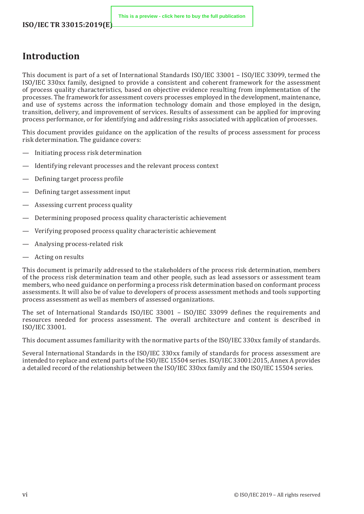## <span id="page-5-0"></span>**Introduction**

This document is part of a set of International Standards ISO/IEC 33001 – ISO/IEC 33099, termed the ISO/IEC 330xx family, designed to provide a consistent and coherent framework for the assessment of process quality characteristics, based on objective evidence resulting from implementation of the processes. The framework for assessment covers processes employed in the development, maintenance, and use of systems across the information technology domain and those employed in the design, transition, delivery, and improvement of services. Results of assessment can be applied for improving process performance, or for identifying and addressing risks associated with application of processes.

This document provides guidance on the application of the results of process assessment for process risk determination. The guidance covers:

- Initiating process risk determination
- Identifying relevant processes and the relevant process context
- Defining target process profile
- Defining target assessment input
- Assessing current process quality
- Determining proposed process quality characteristic achievement
- Verifying proposed process quality characteristic achievement
- Analysing process-related risk
- Acting on results

This document is primarily addressed to the stakeholders of the process risk determination, members of the process risk determination team and other people, such as lead assessors or assessment team members, who need guidance on performing a process risk determination based on conformant process assessments. It will also be of value to developers of process assessment methods and tools supporting process assessment as well as members of assessed organizations.

The set of International Standards ISO/IEC 33001 – ISO/IEC 33099 defines the requirements and resources needed for process assessment. The overall architecture and content is described in ISO/IEC 33001.

This document assumes familiarity with the normative parts of the ISO/IEC 330xx family of standards.

Several International Standards in the ISO/IEC 330xx family of standards for process assessment are intended to replace and extend parts of the ISO/IEC 15504 series. ISO/IEC 33001:2015, Annex A provides a detailed record of the relationship between the ISO/IEC 330xx family and the ISO/IEC 15504 series.